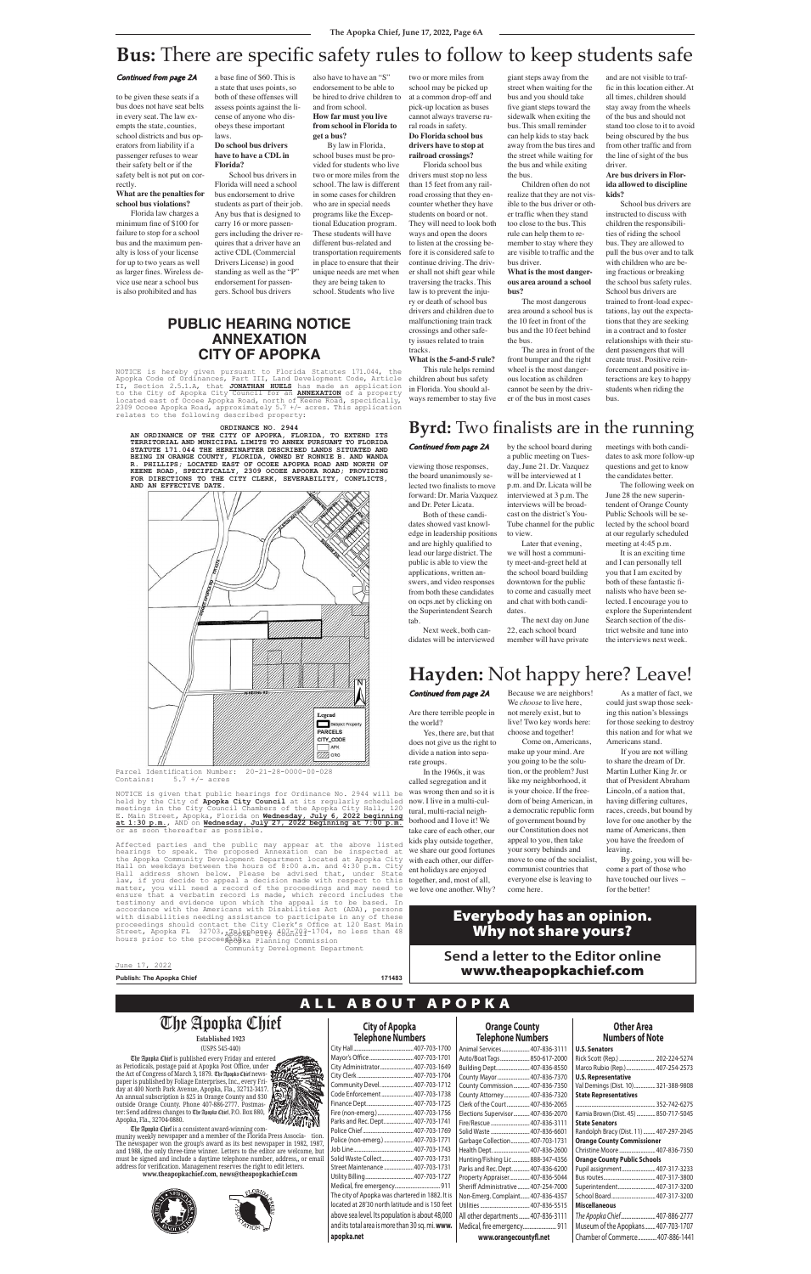Are there terrible people in

Parcel Identification Number:  $20-21-28-0000-00-028$ <br>Contains:  $5.7$  +/- acres  $5.7$  +/- acres

NOTICE is given that public hearings for Ordinance No. 2944 will be held by the City of Apopka City Council at its regularly scheduled held by the City of **Apopka City Council** at its regularly scheduled meetings in the City Council Chambers of the Apopka City Hall, 120 E. Main Street, Apopka, Florida on **Wednesday, July 6, 2022 beginning at 1:30 p.m.**, AND on **Wednesday, July 27, 2022 beginning at 7:00 p.m.** or as soon thereafter as possible.

the world?

Yes, there are, but that does not give us the right to divide a nation into separate groups.

In the 1960s, it was called segregation and it

was wrong then and so it is now. I live in a multi-cultural, multi-racial neighborhood and I love it! We take care of each other, our kids play outside together, we share our good fortunes with each other, our different holidays are enjoyed together, and, most of all,

we love one another. Why?

As a matter of fact, we could just swap those seeking this nation's blessings for those seeking to destroy

Because we are neighbors! We *choose* to live here, not merely exist, but to live! Two key words here:

choose and together!

Come on, Americans, make up your mind. Are you going to be the solution, or the problem? Just like my neighborhood, it is your choice. If the freedom of being American, in a democratic republic form of government bound by our Constitution does not appeal to you, then take your sorry behinds and move to one of the socialist, communist countries that everyone else is leaving to come here.

this nation and for what we Americans stand.

If you are not willing to share the dream of Dr. Martin Luther King Jr. or that of President Abraham Lincoln, of a nation that, having differing cultures, races, creeds, but bound by love for one another by the name of Americans, then you have the freedom of leaving.

By going, you will become a part of those who have touched our lives – for the better!

# **Hayden:** Not happy here? Leave!

# **Byrd:** Two finalists are in the running

Continued from page 2A

viewing those responses, the board unanimously selected two finalists to move forward: Dr. Maria Vazquez and Dr. Peter Licata.

Both of these candidates showed vast knowledge in leadership positions and are highly qualified to lead our large district. The public is able to view the applications, written answers, and video responses from both these candidates on ocps.net by clicking on the Superintendent Search tab.

Next week, both candidates will be interviewed

by the school board during a public meeting on Tuesday, June 21. Dr. Vazquez will be interviewed at 1 p.m. and Dr. Licata will be interviewed at 3 p.m. The interviews will be broadcast on the district's You-Tube channel for the public to view.

Later that evening, we will host a community meet-and-greet held at the school board building downtown for the public to come and casually meet and chat with both candidates.

The next day on June 22, each school board member will have private

meetings with both candidates to ask more follow-up questions and get to know the candidates better.

The following week on June 28 the new superintendent of Orange County Public Schools will be selected by the school board at our regularly scheduled meeting at 4:45 p.m.

It is an exciting time and I can personally tell you that I am excited by both of these fantastic finalists who have been selected. I encourage you to explore the Superintendent Search section of the district website and tune into the interviews next week.

to be given these seats if a bus does not have seat belts in every seat. The law exempts the state, counties, school districts and bus operators from liability if a passenger refuses to wear their safety belt or if the safety belt is not put on correctly.

**What are the penalties for school bus violations?**

Florida law charges a minimum fine of \$100 for failure to stop for a school bus and the maximum penalty is loss of your license for up to two years as well as larger fines. Wireless device use near a school bus is also prohibited and has

a base fine of \$60. This is a state that uses points, so both of these offenses will assess points against the license of anyone who disobeys these important laws.

## **Do school bus drivers have to have a CDL in Florida?**

School bus drivers in Florida will need a school bus endorsement to drive students as part of their job. Any bus that is designed to carry 16 or more passengers including the driver requires that a driver have an active CDL (Commercial Drivers License) in good standing as well as the "P" endorsement for passengers. School bus drivers

also have to have an "S" endorsement to be able to be hired to drive children to and from school.

**How far must you live from school in Florida to get a bus?** By law in Florida,

school buses must be provided for students who live two or more miles from the school. The law is different in some cases for children who are in special needs programs like the Exceptional Education program. These students will have different bus-related and transportation requirements in place to ensure that their unique needs are met when they are being taken to school. Students who live

# **Bus:** There are specific safety rules to follow to keep students safe

### Continued from page 2A

# Continued from page 2A

# A L L A B O U T A P O P K A

The Apopka Chief is published every Friday and entered as Periodicals, postage paid at Apopka Post Office, under the Act of Congress of March 3, 1879. The Apopka Chief newspaper is published by Foliage Enterprises, Inc., every Friday at 400 North Park Avenue, Apopka, Fla., 32712-3417. An annual subscription is \$25 in Orange County and \$30 outside Orange County. Phone 407-886-2777. Postmaster: Send address changes to The Apopka Chief, P.O. Box 880, Apopka, Fla., 32704-0880.

The Apopka Chief is a consistent award-winning community weekly newspaper and a member of the Florida Press Associa- tio. The newspaper won the group's award as its best newspaper in 1982, 198 and 1988, the only three-time winner. Letters to the editor are welcome, b must be signed and include a daytime telephone number, address,, or email address for verification. Management reserves the right to edit letters. **www.theapopkachief.com, news@theapopkachief.com**





| <b>City of Apopka</b>    |  |
|--------------------------|--|
| <b>Telephone Numbers</b> |  |

# **Other Area**

# **Numbers of Note**

Affected parties and the public may appear at the above listed hearings to speak. The proposed Annexation can be inspected at the Apopka Community Development Department located at Apopka City Hall on weekdays between the hours of 8:00 a.m. and 4:30 p.m. City Hall address shown below. Please be advised that, under State law, if you decide to appeal a decision made with respect to this matter, you will need a record of the proceedings and may need to ensure that a verbatim record is made, which record includes the testimony and evidence upon which the appeal is to be based. In accordance with the Americans with Disabilities Act (ADA), persons with disabilities needing assistance to participate in any of these proceedings should contact the City Clerk's Office at 120 East Main Street, Apopka FL 32703, RBelgahone: 487-704, no less than 48 Street, Apopka FL 32703, ABSBRE PTF<br>hours prior to the procee ABBB ka Planning Com procee Apopka Planning Commission

| <b>Orange County</b>                 |                      |
|--------------------------------------|----------------------|
| <b>Telephone Numbers</b>             | <b>Nu</b>            |
| Animal Services 407-836-3111         | <b>U.S. Senators</b> |
| Auto/Boat Tags 850-617-2000          | Rick Scott (Rep      |
| Building Dept 407-836-8550           | Marco Rubio (I       |
| County Mayor  407-836-7370           | <b>U.S. Represen</b> |
| County Commission  407-836-7350      | Val Demings (I       |
| County Attorney  407-836-7320        | <b>State Represe</b> |
| Clerk of the Court  407-836-2065     |                      |
| Elections Supervisor 407-836-2070    | Kamia Brown (        |
| Fire/Rescue  407-836-3111            | <b>State Senator</b> |
| Solid Waste  407-836-6601            | Randolph Brac        |
| Garbage Collection 407-703-1731      | <b>Orange Count</b>  |
| Health Dept.  407-836-2600           | Christine Moor       |
| Hunting/Fishing Lic 888-347-4356     | <b>Orange Count</b>  |
| Parks and Rec. Dept.  407-836-6200   | Pupil assignme       |
| Property Appraiser 407-836-5044      | Bus routes           |
| Sheriff Administrative  407-254-7000 | Superintender        |
| Non-Emerg. Complaint 407-836-4357    | School Board         |
|                                      | <b>Miscellaneou</b>  |
| All other departments  407-836-3111  | The Apopka Ch        |

|          |                                                 | Animal Services          |
|----------|-------------------------------------------------|--------------------------|
|          |                                                 | Auto/Boat Tags           |
|          | City Administrator  407-703-1649                | Building Dept            |
| ą        |                                                 | County Mayor             |
| ħ        | Community Devel.  407-703-1712                  | County Commission        |
| à,       | Code Enforcement 407-703-1738                   | County Attorney          |
| ι        |                                                 | Clerk of the Court       |
|          | Fire (non-emerg.)407-703-1756                   | Elections Supervisor     |
|          | Parks and Rec. Dept.  407-703-1741              | Fire/Rescue              |
|          |                                                 | Solid Waste              |
| Λ.<br>7, | Police (non-emerg.)  407-703-1771               | Garbage Collection       |
| ıt       |                                                 | Health Dept.             |
| il       | Solid Waste Collect 407-703-1731                | Hunting/Fishing Lic      |
|          | Street Maintenance  407-703-1731                | Parks and Rec. Dept      |
|          |                                                 | Property Appraiser       |
|          |                                                 | Sheriff Administrative   |
|          | The city of Apopka was chartered in 1882. It is | Non-Emerg. Complaint     |
|          | located at 28'30 north latitude and is 150 feet |                          |
|          | above sea level. Its population is about 48,000 | All other departments    |
|          |                                                 |                          |
|          | and its total area is more than 30 sq. mi. www. | Medical, fire emergency. |
|          | apopka.net                                      | www.orangecou            |

**www.orangecountyfl.net**

| 00 | Rick Scott (Rep.)  202-224-5274         |
|----|-----------------------------------------|
| 50 | Marco Rubio (Rep.)  407-254-2573        |
| 70 | <b>U.S. Representative</b>              |
| 50 | Val Demings (Dist. 10) 321-388-9808     |
| 20 | <b>State Representatives</b>            |
| 55 |                                         |
| 70 | Kamia Brown (Dist. 45)  850-717-5045    |
| 11 | <b>State Senators</b>                   |
| 01 | Randolph Bracy (Dist. 11)  407-297-2045 |
| 31 | <b>Orange County Commissioner</b>       |
| 00 | Christine Moore  407-836-7350           |
| 56 | <b>Orange County Public Schools</b>     |
| 00 | Pupil assignment 407-317-3233           |
| 44 |                                         |
| 00 | Superintendent 407-317-3200             |
| 57 | School Board 407-317-3200               |
| 15 | <b>Miscellaneous</b>                    |
| 11 | The Apopka Chief 407-886-2777           |
| 11 | Museum of the Apopkans 407-703-1707     |
|    | Chamber of Commerce 407-886-1441        |

# The Apopka Chief

**Established 1923** (USPS 545-440)

# **Send a letter to the Editor online** www.theapopkachief.com

# Everybody has an opinion. Why not share yours?

two or more miles from school may be picked up at a common drop-off and pick-up location as buses cannot always traverse rural roads in safety. **Do Florida school bus drivers have to stop at** 

**railroad crossings?**

Florida school bus drivers must stop no less than 15 feet from any railroad crossing that they encounter whether they have students on board or not. They will need to look both ways and open the doors to listen at the crossing before it is considered safe to continue driving. The driver shall not shift gear while traversing the tracks. This law is to prevent the injury or death of school bus drivers and children due to malfunctioning train track crossings and other safety issues related to train tracks.

**What is the 5-and-5 rule?** This rule helps remind children about bus safety in Florida. You should always remember to stay five

giant steps away from the street when waiting for the bus and you should take five giant steps toward the sidewalk when exiting the bus. This small reminder can help kids to stay back away from the bus tires and the street while waiting for the bus and while exiting the bus.

Children often do not realize that they are not visible to the bus driver or other traffic when they stand too close to the bus. This rule can help them to remember to stay where they are visible to traffic and the bus driver.

### **What is the most dangerous area around a school bus?**

The most dangerous area around a school bus is the 10 feet in front of the bus and the 10 feet behind the bus.

The area in front of the front bumper and the right wheel is the most dangerous location as children cannot be seen by the driver of the bus in most cases

and are not visible to traffic in this location either. At all times, children should stay away from the wheels of the bus and should not stand too close to it to avoid being obscured by the bus from other traffic and from the line of sight of the bus driver.

### **Are bus drivers in Florida allowed to discipline kids?**

School bus drivers are instructed to discuss with children the responsibilities of riding the school bus. They are allowed to pull the bus over and to talk with children who are being fractious or breaking the school bus safety rules. School bus drivers are trained to front-load expectations, lay out the expectations that they are seeking in a contract and to foster relationships with their student passengers that will create trust. Positive reinforcement and positive interactions are key to happy students when riding the bus.

**Publish: The Apopka Chief 171483**

**PUBLIC HEARING NOTICE ANNEXATION CITY OF APOPKA**

June 17, 2022

NOTICE is hereby given pursuant to Florida Statutes 171.044, the Apopka Code of Ordinances, Part III, Land Development Code, Article II, Section 2.5.1.A, that **JONATHAN HUELS** has made an application to the City of Apopka City Council for an **ANNEXATION** of a property located east of Ocoee Apopka Road, north of Keene Road, specifically, 2309 Ocoee Apopka Road, approximately 5.7 +/- acres. This application relates to the following described property:

Community Development Department

#### **ORDINANCE NO. 2944**

**AN ORDINANCE OF THE CITY OF APOPKA, FLORIDA, TO EXTEND ITS TERRITORIAL AND MUNICIPAL LIMITS TO ANNEX PURSUANT TO FLORIDA STATUTE 171.044 THE HEREINAFTER DESCRIBED LANDS SITUATED AND BEING IN ORANGE COUNTY, FLORIDA, OWNED BY RONNIE B. AND WANDA R. PHILLIPS; LOCATED EAST OF OCOEE APOPKA ROAD AND NORTH OF KEENE ROAD, SPECIFICALLY, 2309 OCOEE APOOKA ROAD; PROVIDING FOR DIRECTIONS TO THE CITY CLERK, SEVERABILITY, CONFLICTS, AND AN EFFECTIVE DATE.**